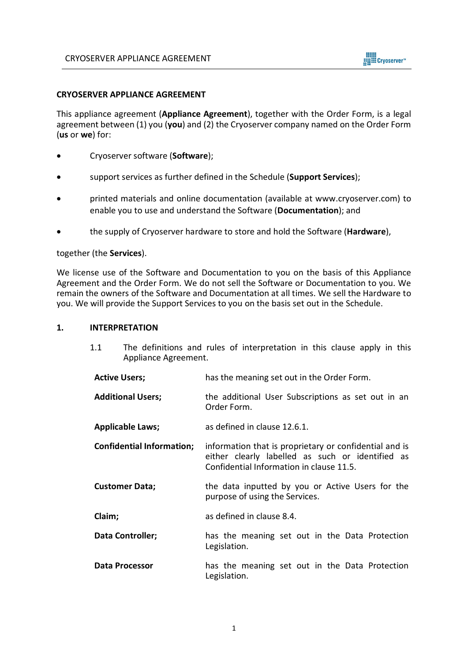

### **CRYOSERVER APPLIANCE AGREEMENT**

This appliance agreement (**Appliance Agreement**), together with the Order Form, is a legal agreement between (1) you (**you**) and (2) the Cryoserver company named on the Order Form (**us** or **we**) for:

- Cryoserver software (**Software**);
- support services as further defined in the Schedule (**Support Services**);
- printed materials and online documentation (available at [www.cryoserver.com\)](http://www.cryoserver.com/) to enable you to use and understand the Software (**Documentation**); and
- the supply of Cryoserver hardware to store and hold the Software (**Hardware**),

### together (the **Services**).

We license use of the Software and Documentation to you on the basis of this Appliance Agreement and the Order Form. We do not sell the Software or Documentation to you. We remain the owners of the Software and Documentation at all times. We sell the Hardware to you. We will provide the Support Services to you on the basis set out in the Schedule.

#### **1. INTERPRETATION**

- 1.1 The definitions and rules of interpretation in this clause apply in this Appliance Agreement.
- Active Users; has the meaning set out in the Order Form.
- **Additional Users;** the additional User Subscriptions as set out in an Order Form.
- **Applicable Laws;** as defined in clause 12.6.1.
- **Confidential Information;** information that is proprietary or confidential and is either clearly labelled as such or identified as Confidential Information in clause 11.5.
- **Customer Data;** the data inputted by you or Active Users for the purpose of using the Services.
- **Claim:** as defined in clause 8.4.
- **Data Controller;** has the meaning set out in the Data Protection Legislation.
- **Data Processor** has the meaning set out in the Data Protection Legislation.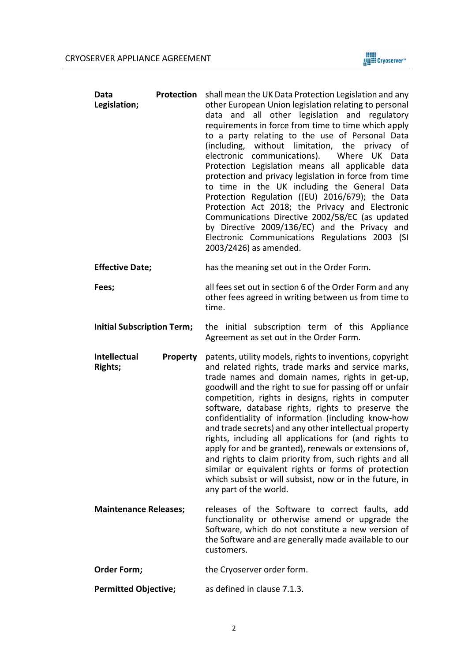

| Data<br>Legislation;              | Protection      | shall mean the UK Data Protection Legislation and any<br>other European Union legislation relating to personal<br>data and all other legislation and regulatory<br>requirements in force from time to time which apply<br>to a party relating to the use of Personal Data<br>without limitation, the privacy of<br>(including,<br>electronic<br>communications).<br>Where UK Data<br>Protection Legislation means all applicable data<br>protection and privacy legislation in force from time<br>to time in the UK including the General Data<br>Protection Regulation ((EU) 2016/679); the Data<br>Protection Act 2018; the Privacy and Electronic<br>Communications Directive 2002/58/EC (as updated<br>by Directive 2009/136/EC) and the Privacy and<br>Electronic Communications Regulations 2003 (SI<br>2003/2426) as amended. |  |
|-----------------------------------|-----------------|--------------------------------------------------------------------------------------------------------------------------------------------------------------------------------------------------------------------------------------------------------------------------------------------------------------------------------------------------------------------------------------------------------------------------------------------------------------------------------------------------------------------------------------------------------------------------------------------------------------------------------------------------------------------------------------------------------------------------------------------------------------------------------------------------------------------------------------|--|
| <b>Effective Date;</b>            |                 | has the meaning set out in the Order Form.                                                                                                                                                                                                                                                                                                                                                                                                                                                                                                                                                                                                                                                                                                                                                                                           |  |
| Fees;                             |                 | all fees set out in section 6 of the Order Form and any<br>other fees agreed in writing between us from time to<br>time.                                                                                                                                                                                                                                                                                                                                                                                                                                                                                                                                                                                                                                                                                                             |  |
| <b>Initial Subscription Term;</b> |                 | the initial subscription term of this Appliance<br>Agreement as set out in the Order Form.                                                                                                                                                                                                                                                                                                                                                                                                                                                                                                                                                                                                                                                                                                                                           |  |
| Intellectual<br><b>Rights;</b>    | <b>Property</b> | patents, utility models, rights to inventions, copyright<br>and related rights, trade marks and service marks,<br>trade names and domain names, rights in get-up,<br>goodwill and the right to sue for passing off or unfair<br>competition, rights in designs, rights in computer<br>software, database rights, rights to preserve the<br>confidentiality of information (including know-how<br>and trade secrets) and any other intellectual property<br>rights, including all applications for (and rights to<br>apply for and be granted), renewals or extensions of,<br>and rights to claim priority from, such rights and all<br>similar or equivalent rights or forms of protection<br>which subsist or will subsist, now or in the future, in<br>any part of the world.                                                      |  |
| <b>Maintenance Releases;</b>      |                 | releases of the Software to correct faults, add<br>functionality or otherwise amend or upgrade the<br>Software, which do not constitute a new version of<br>the Software and are generally made available to our<br>customers.                                                                                                                                                                                                                                                                                                                                                                                                                                                                                                                                                                                                       |  |
| Order Form;                       |                 | the Cryoserver order form.                                                                                                                                                                                                                                                                                                                                                                                                                                                                                                                                                                                                                                                                                                                                                                                                           |  |

Permitted Objective; as defined in clause 7.1.3.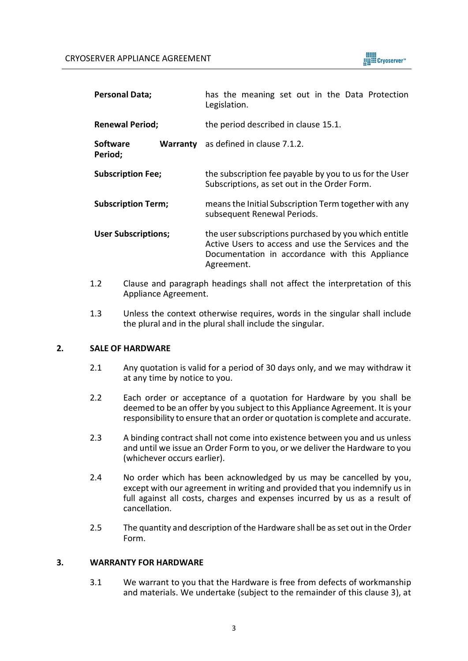

| <b>Personal Data;</b>      |  | has the meaning set out in the Data Protection<br>Legislation.                                                                                                                |  |
|----------------------------|--|-------------------------------------------------------------------------------------------------------------------------------------------------------------------------------|--|
| <b>Renewal Period;</b>     |  | the period described in clause 15.1.                                                                                                                                          |  |
| <b>Software</b><br>Period; |  | <b>Warranty</b> as defined in clause 7.1.2.                                                                                                                                   |  |
| <b>Subscription Fee;</b>   |  | the subscription fee payable by you to us for the User<br>Subscriptions, as set out in the Order Form.                                                                        |  |
| <b>Subscription Term;</b>  |  | means the Initial Subscription Term together with any<br>subsequent Renewal Periods.                                                                                          |  |
| <b>User Subscriptions;</b> |  | the user subscriptions purchased by you which entitle<br>Active Users to access and use the Services and the<br>Documentation in accordance with this Appliance<br>Agreement. |  |

- 1.2 Clause and paragraph headings shall not affect the interpretation of this Appliance Agreement.
- 1.3 Unless the context otherwise requires, words in the singular shall include the plural and in the plural shall include the singular.

# **2. SALE OF HARDWARE**

- 2.1 Any quotation is valid for a period of 30 days only, and we may withdraw it at any time by notice to you.
- 2.2 Each order or acceptance of a quotation for Hardware by you shall be deemed to be an offer by you subject to this Appliance Agreement. It is your responsibility to ensure that an order or quotation is complete and accurate.
- 2.3 A binding contract shall not come into existence between you and us unless and until we issue an Order Form to you, or we deliver the Hardware to you (whichever occurs earlier).
- 2.4 No order which has been acknowledged by us may be cancelled by you, except with our agreement in writing and provided that you indemnify us in full against all costs, charges and expenses incurred by us as a result of cancellation.
- 2.5 The quantity and description of the Hardware shall be as set out in the Order Form.

## **3. WARRANTY FOR HARDWARE**

3.1 We warrant to you that the Hardware is free from defects of workmanship and materials. We undertake (subject to the remainder of this clause 3), at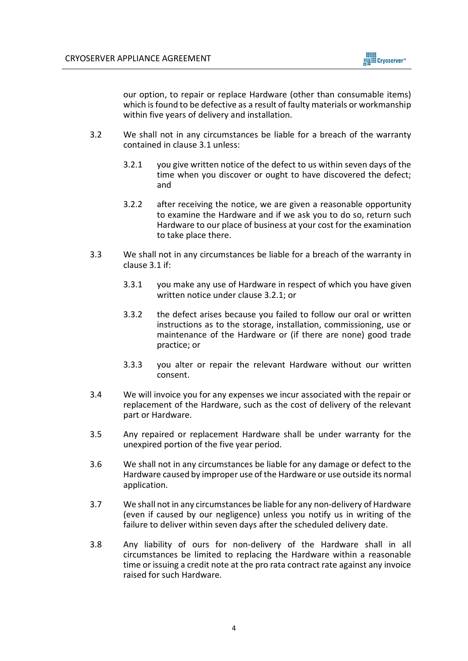

our option, to repair or replace Hardware (other than consumable items) which is found to be defective as a result of faulty materials or workmanship within five years of delivery and installation.

- 3.2 We shall not in any circumstances be liable for a breach of the warranty contained in clause 3.1 unless:
	- 3.2.1 you give written notice of the defect to us within seven days of the time when you discover or ought to have discovered the defect; and
	- 3.2.2 after receiving the notice, we are given a reasonable opportunity to examine the Hardware and if we ask you to do so, return such Hardware to our place of business at your cost for the examination to take place there.
- 3.3 We shall not in any circumstances be liable for a breach of the warranty in clause 3.1 if:
	- 3.3.1 you make any use of Hardware in respect of which you have given written notice under clause 3.2.1; or
	- 3.3.2 the defect arises because you failed to follow our oral or written instructions as to the storage, installation, commissioning, use or maintenance of the Hardware or (if there are none) good trade practice; or
	- 3.3.3 you alter or repair the relevant Hardware without our written consent.
- 3.4 We will invoice you for any expenses we incur associated with the repair or replacement of the Hardware, such as the cost of delivery of the relevant part or Hardware.
- 3.5 Any repaired or replacement Hardware shall be under warranty for the unexpired portion of the five year period.
- 3.6 We shall not in any circumstances be liable for any damage or defect to the Hardware caused by improper use of the Hardware or use outside its normal application.
- 3.7 We shall not in any circumstances be liable for any non-delivery of Hardware (even if caused by our negligence) unless you notify us in writing of the failure to deliver within seven days after the scheduled delivery date.
- 3.8 Any liability of ours for non-delivery of the Hardware shall in all circumstances be limited to replacing the Hardware within a reasonable time or issuing a credit note at the pro rata contract rate against any invoice raised for such Hardware.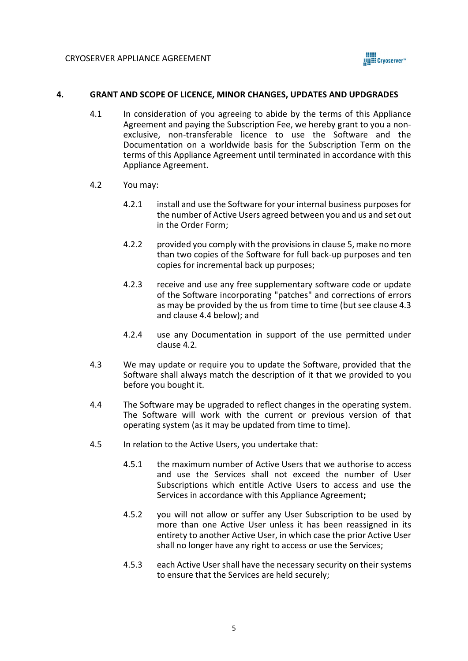

## **4. GRANT AND SCOPE OF LICENCE, MINOR CHANGES, UPDATES AND UPDGRADES**

- 4.1 In consideration of you agreeing to abide by the terms of this Appliance Agreement and paying the Subscription Fee, we hereby grant to you a nonexclusive, non-transferable licence to use the Software and the Documentation on a worldwide basis for the Subscription Term on the terms of this Appliance Agreement until terminated in accordance with this Appliance Agreement.
- <span id="page-4-2"></span>4.2 You may:
	- 4.2.1 install and use the Software for your internal business purposes for the number of Active Users agreed between you and us and set out in the Order Form;
	- 4.2.2 provided you comply with the provisions in clause 5, make no more than two copies of the Software for full back-up purposes and ten copies for incremental back up purposes;
	- 4.2.3 receive and use any free supplementary software code or update of the Software incorporating "patches" and corrections of errors as may be provided by the us from time to time (but see clause [4.3](#page-4-0) and clause [4.4](#page-4-1) below); and
	- 4.2.4 use any Documentation in support of the use permitted under clause [4.2.](#page-4-2)
- <span id="page-4-0"></span>4.3 We may update or require you to update the Software, provided that the Software shall always match the description of it that we provided to you before you bought it.
- <span id="page-4-1"></span>4.4 The Software may be upgraded to reflect changes in the operating system. The Software will work with the current or previous version of that operating system (as it may be updated from time to time).
- 4.5 In relation to the Active Users, you undertake that:
	- 4.5.1 the maximum number of Active Users that we authorise to access and use the Services shall not exceed the number of User Subscriptions which entitle Active Users to access and use the Services in accordance with this Appliance Agreement**;**
	- 4.5.2 you will not allow or suffer any User Subscription to be used by more than one Active User unless it has been reassigned in its entirety to another Active User, in which case the prior Active User shall no longer have any right to access or use the Services;
	- 4.5.3 each Active User shall have the necessary security on their systems to ensure that the Services are held securely;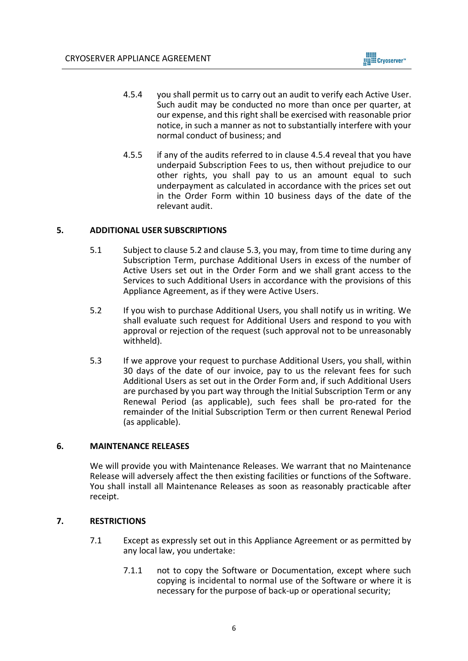

- 4.5.4 you shall permit us to carry out an audit to verify each Active User. Such audit may be conducted no more than once per quarter, at our expense, and this right shall be exercised with reasonable prior notice, in such a manner as not to substantially interfere with your normal conduct of business; and
- 4.5.5 if any of the audits referred to in clause 4.5.4 reveal that you have underpaid Subscription Fees to us, then without prejudice to our other rights, you shall pay to us an amount equal to such underpayment as calculated in accordance with the prices set out in the Order Form within 10 business days of the date of the relevant audit.

# **5. ADDITIONAL USER SUBSCRIPTIONS**

- 5.1 Subject to clause 5.2 and clause 5.3, you may, from time to time during any Subscription Term, purchase Additional Users in excess of the number of Active Users set out in the Order Form and we shall grant access to the Services to such Additional Users in accordance with the provisions of this Appliance Agreement, as if they were Active Users.
- 5.2 If you wish to purchase Additional Users, you shall notify us in writing. We shall evaluate such request for Additional Users and respond to you with approval or rejection of the request (such approval not to be unreasonably withheld).
- 5.3 If we approve your request to purchase Additional Users, you shall, within 30 days of the date of our invoice, pay to us the relevant fees for such Additional Users as set out in the Order Form and, if such Additional Users are purchased by you part way through the Initial Subscription Term or any Renewal Period (as applicable), such fees shall be pro-rated for the remainder of the Initial Subscription Term or then current Renewal Period (as applicable).

### **6. MAINTENANCE RELEASES**

We will provide you with Maintenance Releases. We warrant that no Maintenance Release will adversely affect the then existing facilities or functions of the Software. You shall install all Maintenance Releases as soon as reasonably practicable after receipt.

## **7. RESTRICTIONS**

- 7.1 Except as expressly set out in this Appliance Agreement or as permitted by any local law, you undertake:
	- 7.1.1 not to copy the Software or Documentation, except where such copying is incidental to normal use of the Software or where it is necessary for the purpose of back-up or operational security;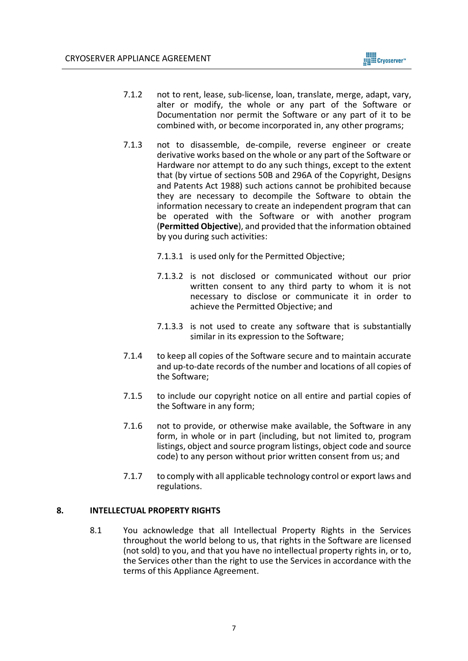

- 7.1.2 not to rent, lease, sub-license, loan, translate, merge, adapt, vary, alter or modify, the whole or any part of the Software or Documentation nor permit the Software or any part of it to be combined with, or become incorporated in, any other programs;
- 7.1.3 not to disassemble, de-compile, reverse engineer or create derivative works based on the whole or any part of the Software or Hardware nor attempt to do any such things, except to the extent that (by virtue of sections 50B and 296A of the Copyright, Designs and Patents Act 1988) such actions cannot be prohibited because they are necessary to decompile the Software to obtain the information necessary to create an independent program that can be operated with the Software or with another program (**Permitted Objective**), and provided that the information obtained by you during such activities:
	- 7.1.3.1 is used only for the Permitted Objective;
	- 7.1.3.2 is not disclosed or communicated without our prior written consent to any third party to whom it is not necessary to disclose or communicate it in order to achieve the Permitted Objective; and
	- 7.1.3.3 is not used to create any software that is substantially similar in its expression to the Software;
- 7.1.4 to keep all copies of the Software secure and to maintain accurate and up-to-date records of the number and locations of all copies of the Software;
- 7.1.5 to include our copyright notice on all entire and partial copies of the Software in any form;
- 7.1.6 not to provide, or otherwise make available, the Software in any form, in whole or in part (including, but not limited to, program listings, object and source program listings, object code and source code) to any person without prior written consent from us; and
- 7.1.7 to comply with all applicable technology control or export laws and regulations.

# **8. INTELLECTUAL PROPERTY RIGHTS**

8.1 You acknowledge that all Intellectual Property Rights in the Services throughout the world belong to us, that rights in the Software are licensed (not sold) to you, and that you have no intellectual property rights in, or to, the Services other than the right to use the Services in accordance with the terms of this Appliance Agreement.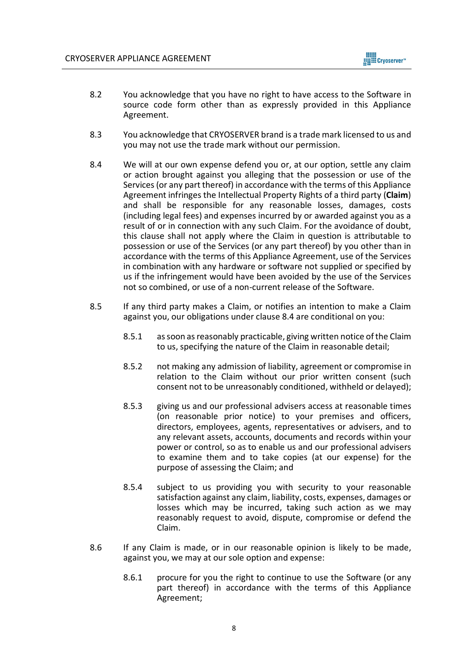

- 8.2 You acknowledge that you have no right to have access to the Software in source code form other than as expressly provided in this Appliance Agreement.
- 8.3 You acknowledge that CRYOSERVER brand is a trade mark licensed to us and you may not use the trade mark without our permission.
- 8.4 We will at our own expense defend you or, at our option, settle any claim or action brought against you alleging that the possession or use of the Services (or any part thereof) in accordance with the terms of this Appliance Agreement infringes the Intellectual Property Rights of a third party (**Claim**) and shall be responsible for any reasonable losses, damages, costs (including legal fees) and expenses incurred by or awarded against you as a result of or in connection with any such Claim. For the avoidance of doubt, this clause shall not apply where the Claim in question is attributable to possession or use of the Services (or any part thereof) by you other than in accordance with the terms of this Appliance Agreement, use of the Services in combination with any hardware or software not supplied or specified by us if the infringement would have been avoided by the use of the Services not so combined, or use of a non-current release of the Software.
- 8.5 If any third party makes a Claim, or notifies an intention to make a Claim against you, our obligations under clause 8.4 are conditional on you:
	- 8.5.1 as soon as reasonably practicable, giving written notice of the Claim to us, specifying the nature of the Claim in reasonable detail;
	- 8.5.2 not making any admission of liability, agreement or compromise in relation to the Claim without our prior written consent (such consent not to be unreasonably conditioned, withheld or delayed);
	- 8.5.3 giving us and our professional advisers access at reasonable times (on reasonable prior notice) to your premises and officers, directors, employees, agents, representatives or advisers, and to any relevant assets, accounts, documents and records within your power or control, so as to enable us and our professional advisers to examine them and to take copies (at our expense) for the purpose of assessing the Claim; and
	- 8.5.4 subject to us providing you with security to your reasonable satisfaction against any claim, liability, costs, expenses, damages or losses which may be incurred, taking such action as we may reasonably request to avoid, dispute, compromise or defend the Claim.
- 8.6 If any Claim is made, or in our reasonable opinion is likely to be made, against you, we may at our sole option and expense:
	- 8.6.1 procure for you the right to continue to use the Software (or any part thereof) in accordance with the terms of this Appliance Agreement;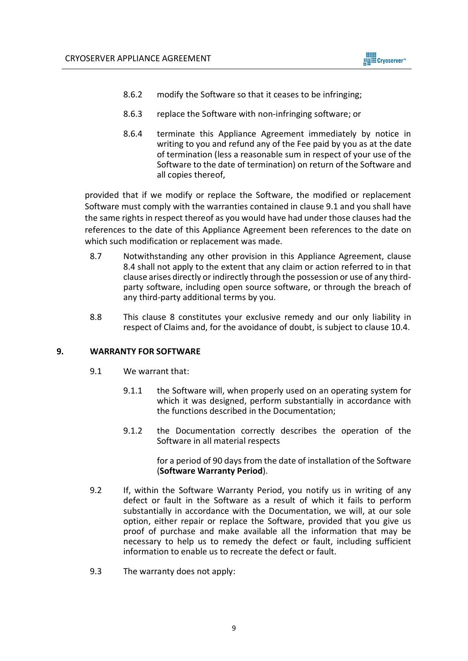

- 8.6.2 modify the Software so that it ceases to be infringing;
- 8.6.3 replace the Software with non-infringing software; or
- 8.6.4 terminate this Appliance Agreement immediately by notice in writing to you and refund any of the Fee paid by you as at the date of termination (less a reasonable sum in respect of your use of the Software to the date of termination) on return of the Software and all copies thereof,

provided that if we modify or replace the Software, the modified or replacement Software must comply with the warranties contained in clause 9.1 and you shall have the same rights in respect thereof as you would have had under those clauses had the references to the date of this Appliance Agreement been references to the date on which such modification or replacement was made.

- 8.7 Notwithstanding any other provision in this Appliance Agreement, clause 8.4 shall not apply to the extent that any claim or action referred to in that clause arises directly or indirectly through the possession or use of any thirdparty software, including open source software, or through the breach of any third-party additional terms by you.
- 8.8 This clause 8 constitutes your exclusive remedy and our only liability in respect of Claims and, for the avoidance of doubt, is subject to clause 10.4.

### **9. WARRANTY FOR SOFTWARE**

- 9.1 We warrant that:
	- 9.1.1 the Software will, when properly used on an operating system for which it was designed, perform substantially in accordance with the functions described in the Documentation;
	- 9.1.2 the Documentation correctly describes the operation of the Software in all material respects

for a period of 90 days from the date of installation of the Software (**Software Warranty Period**).

- 9.2 If, within the Software Warranty Period, you notify us in writing of any defect or fault in the Software as a result of which it fails to perform substantially in accordance with the Documentation, we will, at our sole option, either repair or replace the Software, provided that you give us proof of purchase and make available all the information that may be necessary to help us to remedy the defect or fault, including sufficient information to enable us to recreate the defect or fault.
- 9.3 The warranty does not apply: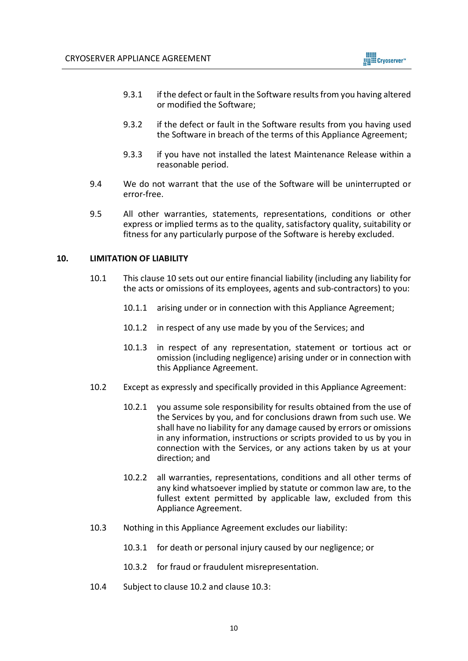

- 9.3.1 if the defect or fault in the Software results from you having altered or modified the Software;
- 9.3.2 if the defect or fault in the Software results from you having used the Software in breach of the terms of this Appliance Agreement;
- 9.3.3 if you have not installed the latest Maintenance Release within a reasonable period.
- 9.4 We do not warrant that the use of the Software will be uninterrupted or error-free.
- 9.5 All other warranties, statements, representations, conditions or other express or implied terms as to the quality, satisfactory quality, suitability or fitness for any particularly purpose of the Software is hereby excluded.

## **10. LIMITATION OF LIABILITY**

- 10.1 This clause 10 sets out our entire financial liability (including any liability for the acts or omissions of its employees, agents and sub-contractors) to you:
	- 10.1.1 arising under or in connection with this Appliance Agreement;
	- 10.1.2 in respect of any use made by you of the Services; and
	- 10.1.3 in respect of any representation, statement or tortious act or omission (including negligence) arising under or in connection with this Appliance Agreement.
- 10.2 Except as expressly and specifically provided in this Appliance Agreement:
	- 10.2.1 you assume sole responsibility for results obtained from the use of the Services by you, and for conclusions drawn from such use. We shall have no liability for any damage caused by errors or omissions in any information, instructions or scripts provided to us by you in connection with the Services, or any actions taken by us at your direction; and
	- 10.2.2 all warranties, representations, conditions and all other terms of any kind whatsoever implied by statute or common law are, to the fullest extent permitted by applicable law, excluded from this Appliance Agreement.
- 10.3 Nothing in this Appliance Agreement excludes our liability:
	- 10.3.1 for death or personal injury caused by our negligence; or
	- 10.3.2 for fraud or fraudulent misrepresentation.
- 10.4 Subject to clause 10.2 and clause 10.3: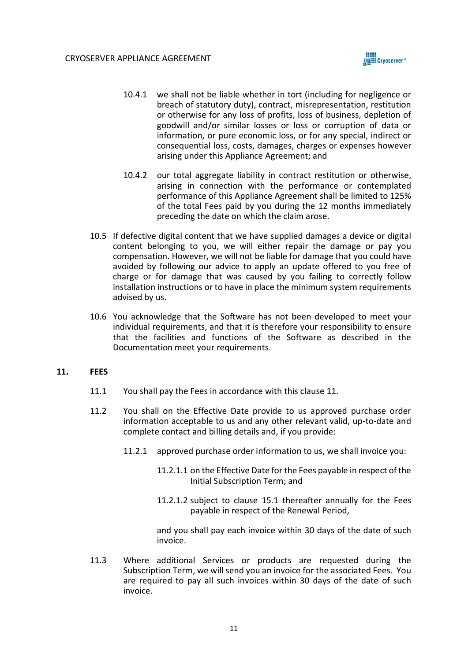

- 10.4.1 we shall not be liable whether in tort (including for negligence or breach of statutory duty), contract, misrepresentation, restitution or otherwise for any loss of profits, loss of business, depletion of goodwill and/or similar losses or loss or corruption of data or information, or pure economic loss, or for any special, indirect or consequential loss, costs, damages, charges or expenses however arising under this Appliance Agreement; and
- 10.4.2 our total aggregate liability in contract restitution or otherwise, arising in connection with the performance or contemplated performance of this Appliance Agreement shall be limited to 125% of the total Fees paid by you during the 12 months immediately preceding the date on which the claim arose.
- 10.5 If defective digital content that we have supplied damages a device or digital content belonging to you, we will either repair the damage or pay you compensation. However, we will not be liable for damage that you could have avoided by following our advice to apply an update offered to you free of charge or for damage that was caused by you failing to correctly follow installation instructions or to have in place the minimum system requirements advised by us.
- 10.6 You acknowledge that the Software has not been developed to meet your individual requirements, and that it is therefore your responsibility to ensure that the facilities and functions of the Software as described in the Documentation meet your requirements.

### **11. FEES**

- 11.1 You shall pay the Fees in accordance with this clause 11.
- 11.2 You shall on the Effective Date provide to us approved purchase order information acceptable to us and any other relevant valid, up-to-date and complete contact and billing details and, if you provide:
	- 11.2.1 approved purchase order information to us, we shall invoice you:
		- 11.2.1.1 on the Effective Date for the Fees payable in respect of the Initial Subscription Term; and
		- 11.2.1.2 subject to clause 15.1 thereafter annually for the Fees payable in respect of the Renewal Period,

and you shall pay each invoice within 30 days of the date of such invoice.

11.3 Where additional Services or products are requested during the Subscription Term, we will send you an invoice for the associated Fees. You are required to pay all such invoices within 30 days of the date of such invoice.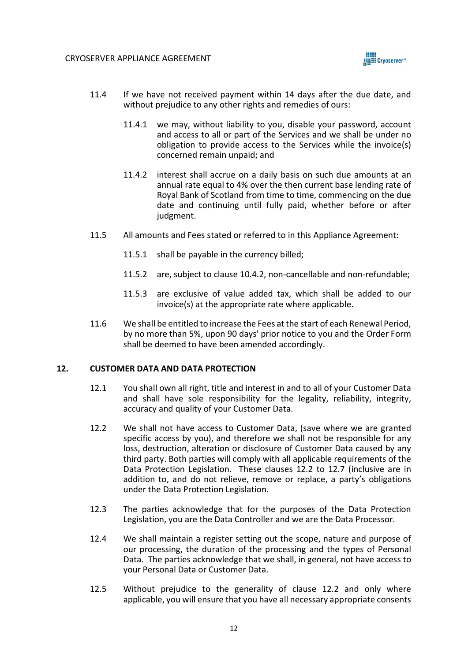

- 11.4 If we have not received payment within 14 days after the due date, and without prejudice to any other rights and remedies of ours:
	- 11.4.1 we may, without liability to you, disable your password, account and access to all or part of the Services and we shall be under no obligation to provide access to the Services while the invoice(s) concerned remain unpaid; and
	- 11.4.2 interest shall accrue on a daily basis on such due amounts at an annual rate equal to 4% over the then current base lending rate of Royal Bank of Scotland from time to time, commencing on the due date and continuing until fully paid, whether before or after judgment.
- 11.5 All amounts and Fees stated or referred to in this Appliance Agreement:
	- 11.5.1 shall be payable in the currency billed;
	- 11.5.2 are, subject to clause 10.4.2, non-cancellable and non-refundable;
	- 11.5.3 are exclusive of value added tax, which shall be added to our invoice(s) at the appropriate rate where applicable.
- 11.6 We shall be entitled to increase the Fees at the start of each Renewal Period, by no more than 5%, upon 90 days' prior notice to you and the Order Form shall be deemed to have been amended accordingly.

### **12. CUSTOMER DATA AND DATA PROTECTION**

- 12.1 You shall own all right, title and interest in and to all of your Customer Data and shall have sole responsibility for the legality, reliability, integrity, accuracy and quality of your Customer Data.
- 12.2 We shall not have access to Customer Data, (save where we are granted specific access by you), and therefore we shall not be responsible for any loss, destruction, alteration or disclosure of Customer Data caused by any third party. Both parties will comply with all applicable requirements of the Data Protection Legislation. These clauses 12.2 to 12.7 (inclusive are in addition to, and do not relieve, remove or replace, a party's obligations under the Data Protection Legislation.
- 12.3 The parties acknowledge that for the purposes of the Data Protection Legislation, you are the Data Controller and we are the Data Processor.
- 12.4 We shall maintain a register setting out the scope, nature and purpose of our processing, the duration of the processing and the types of Personal Data. The parties acknowledge that we shall, in general, not have access to your Personal Data or Customer Data.
- 12.5 Without prejudice to the generality of clause 12.2 and only where applicable, you will ensure that you have all necessary appropriate consents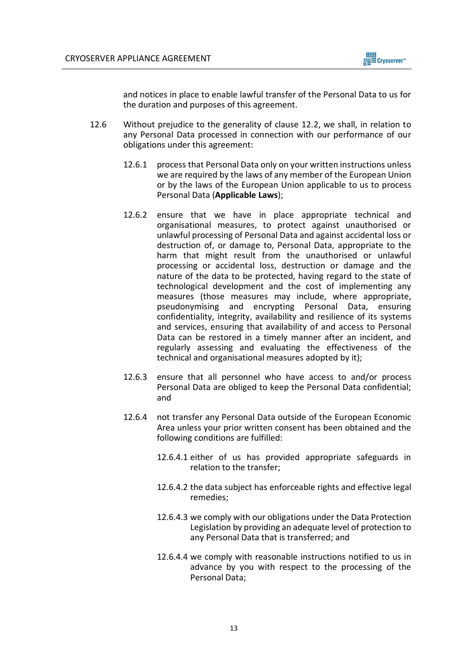

and notices in place to enable lawful transfer of the Personal Data to us for the duration and purposes of this agreement.

- 12.6 Without prejudice to the generality of clause 12.2, we shall, in relation to any Personal Data processed in connection with our performance of our obligations under this agreement:
	- 12.6.1 process that Personal Data only on your written instructions unless we are required by the laws of any member of the European Union or by the laws of the European Union applicable to us to process Personal Data (**Applicable Laws**);
	- 12.6.2 ensure that we have in place appropriate technical and organisational measures, to protect against unauthorised or unlawful processing of Personal Data and against accidental loss or destruction of, or damage to, Personal Data, appropriate to the harm that might result from the unauthorised or unlawful processing or accidental loss, destruction or damage and the nature of the data to be protected, having regard to the state of technological development and the cost of implementing any measures (those measures may include, where appropriate, pseudonymising and encrypting Personal Data, ensuring confidentiality, integrity, availability and resilience of its systems and services, ensuring that availability of and access to Personal Data can be restored in a timely manner after an incident, and regularly assessing and evaluating the effectiveness of the technical and organisational measures adopted by it);
	- 12.6.3 ensure that all personnel who have access to and/or process Personal Data are obliged to keep the Personal Data confidential; and
	- 12.6.4 not transfer any Personal Data outside of the European Economic Area unless your prior written consent has been obtained and the following conditions are fulfilled:
		- 12.6.4.1 either of us has provided appropriate safeguards in relation to the transfer;
		- 12.6.4.2 the data subject has enforceable rights and effective legal remedies;
		- 12.6.4.3 we comply with our obligations under the Data Protection Legislation by providing an adequate level of protection to any Personal Data that is transferred; and
		- 12.6.4.4 we comply with reasonable instructions notified to us in advance by you with respect to the processing of the Personal Data;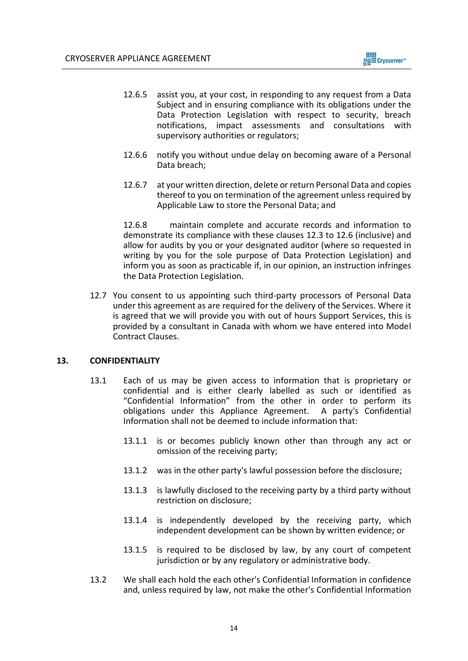- 12.6.5 assist you, at your cost, in responding to any request from a Data Subject and in ensuring compliance with its obligations under the Data Protection Legislation with respect to security, breach notifications, impact assessments and consultations with supervisory authorities or regulators;
- 12.6.6 notify you without undue delay on becoming aware of a Personal Data breach;
- 12.6.7 at your written direction, delete or return Personal Data and copies thereof to you on termination of the agreement unless required by Applicable Law to store the Personal Data; and

12.6.8 maintain complete and accurate records and information to demonstrate its compliance with these clauses 12.3 to 12.6 (inclusive) and allow for audits by you or your designated auditor (where so requested in writing by you for the sole purpose of Data Protection Legislation) and inform you as soon as practicable if, in our opinion, an instruction infringes the Data Protection Legislation.

12.7 You consent to us appointing such third-party processors of Personal Data under this agreement as are required for the delivery of the Services. Where it is agreed that we will provide you with out of hours Support Services, this is provided by a consultant in Canada with whom we have entered into Model Contract Clauses.

### **13. CONFIDENTIALITY**

- 13.1 Each of us may be given access to information that is proprietary or confidential and is either clearly labelled as such or identified as "Confidential Information" from the other in order to perform its obligations under this Appliance Agreement. A party's Confidential Information shall not be deemed to include information that:
	- 13.1.1 is or becomes publicly known other than through any act or omission of the receiving party;
	- 13.1.2 was in the other party's lawful possession before the disclosure;
	- 13.1.3 is lawfully disclosed to the receiving party by a third party without restriction on disclosure;
	- 13.1.4 is independently developed by the receiving party, which independent development can be shown by written evidence; or
	- 13.1.5 is required to be disclosed by law, by any court of competent jurisdiction or by any regulatory or administrative body.
- 13.2 We shall each hold the each other's Confidential Information in confidence and, unless required by law, not make the other's Confidential Information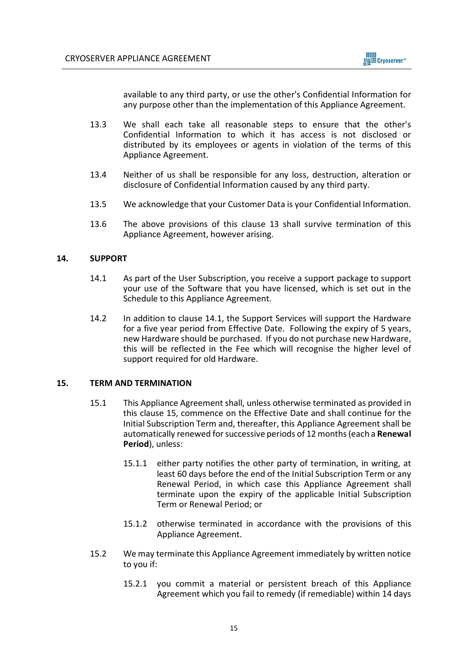

available to any third party, or use the other's Confidential Information for any purpose other than the implementation of this Appliance Agreement.

- 13.3 We shall each take all reasonable steps to ensure that the other's Confidential Information to which it has access is not disclosed or distributed by its employees or agents in violation of the terms of this Appliance Agreement.
- 13.4 Neither of us shall be responsible for any loss, destruction, alteration or disclosure of Confidential Information caused by any third party.
- 13.5 We acknowledge that your Customer Data is your Confidential Information.
- 13.6 The above provisions of this clause 13 shall survive termination of this Appliance Agreement, however arising.

### **14. SUPPORT**

- 14.1 As part of the User Subscription, you receive a support package to support your use of the Software that you have licensed, which is set out in the Schedule to this Appliance Agreement.
- 14.2 In addition to clause 14.1, the Support Services will support the Hardware for a five year period from Effective Date. Following the expiry of 5 years, new Hardware should be purchased. If you do not purchase new Hardware, this will be reflected in the Fee which will recognise the higher level of support required for old Hardware.

#### <span id="page-14-0"></span>**15. TERM AND TERMINATION**

- 15.1 This Appliance Agreement shall, unless otherwise terminated as provided in this clause 15, commence on the Effective Date and shall continue for the Initial Subscription Term and, thereafter, this Appliance Agreement shall be automatically renewed for successive periods of 12 months (each a **Renewal Period**), unless:
	- 15.1.1 either party notifies the other party of termination, in writing, at least 60 days before the end of the Initial Subscription Term or any Renewal Period, in which case this Appliance Agreement shall terminate upon the expiry of the applicable Initial Subscription Term or Renewal Period; or
	- 15.1.2 otherwise terminated in accordance with the provisions of this Appliance Agreement.
- 15.2 We may terminate this Appliance Agreement immediately by written notice to you if:
	- 15.2.1 you commit a material or persistent breach of this Appliance Agreement which you fail to remedy (if remediable) within 14 days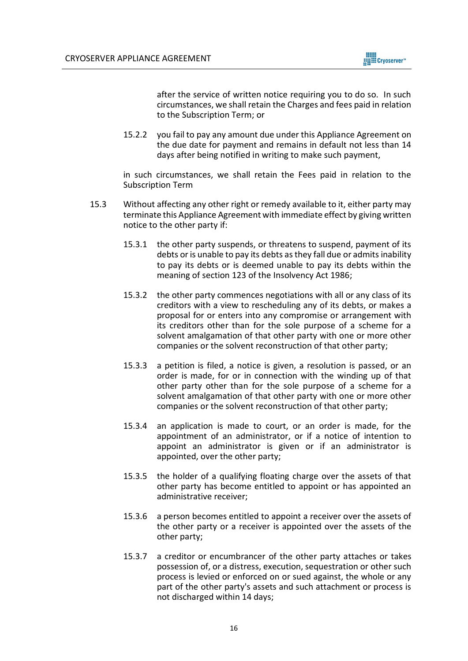

after the service of written notice requiring you to do so. In such circumstances, we shall retain the Charges and fees paid in relation to the Subscription Term; or

15.2.2 you fail to pay any amount due under this Appliance Agreement on the due date for payment and remains in default not less than 14 days after being notified in writing to make such payment,

in such circumstances, we shall retain the Fees paid in relation to the Subscription Term

- 15.3 Without affecting any other right or remedy available to it, either party may terminate this Appliance Agreement with immediate effect by giving written notice to the other party if:
	- 15.3.1 the other party suspends, or threatens to suspend, payment of its debts or is unable to pay its debts as they fall due or admits inability to pay its debts or is deemed unable to pay its debts within the meaning of section 123 of the Insolvency Act 1986;
	- 15.3.2 the other party commences negotiations with all or any class of its creditors with a view to rescheduling any of its debts, or makes a proposal for or enters into any compromise or arrangement with its creditors other than for the sole purpose of a scheme for a solvent amalgamation of that other party with one or more other companies or the solvent reconstruction of that other party;
	- 15.3.3 a petition is filed, a notice is given, a resolution is passed, or an order is made, for or in connection with the winding up of that other party other than for the sole purpose of a scheme for a solvent amalgamation of that other party with one or more other companies or the solvent reconstruction of that other party;
	- 15.3.4 an application is made to court, or an order is made, for the appointment of an administrator, or if a notice of intention to appoint an administrator is given or if an administrator is appointed, over the other party;
	- 15.3.5 the holder of a qualifying floating charge over the assets of that other party has become entitled to appoint or has appointed an administrative receiver;
	- 15.3.6 a person becomes entitled to appoint a receiver over the assets of the other party or a receiver is appointed over the assets of the other party;
	- 15.3.7 a creditor or encumbrancer of the other party attaches or takes possession of, or a distress, execution, sequestration or other such process is levied or enforced on or sued against, the whole or any part of the other party's assets and such attachment or process is not discharged within 14 days;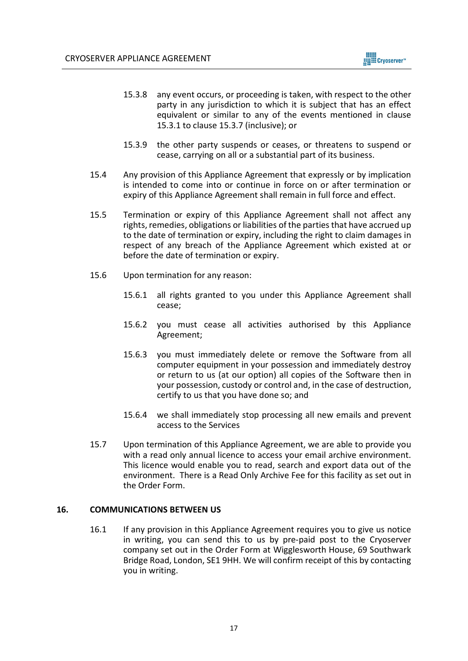

- 15.3.8 any event occurs, or proceeding is taken, with respect to the other party in any jurisdiction to which it is subject that has an effect equivalent or similar to any of the events mentioned in clause 15.3.1 to clause 15.3.7 (inclusive); or
- 15.3.9 the other party suspends or ceases, or threatens to suspend or cease, carrying on all or a substantial part of its business.
- 15.4 Any provision of this Appliance Agreement that expressly or by implication is intended to come into or continue in force on or after termination or expiry of this Appliance Agreement shall remain in full force and effect.
- 15.5 Termination or expiry of this Appliance Agreement shall not affect any rights, remedies, obligations or liabilities of the parties that have accrued up to the date of termination or expiry, including the right to claim damages in respect of any breach of the Appliance Agreement which existed at or before the date of termination or expiry.
- 15.6 Upon termination for any reason:
	- 15.6.1 all rights granted to you under this Appliance Agreement shall cease;
	- 15.6.2 you must cease all activities authorised by this Appliance Agreement;
	- 15.6.3 you must immediately delete or remove the Software from all computer equipment in your possession and immediately destroy or return to us (at our option) all copies of the Software then in your possession, custody or control and, in the case of destruction, certify to us that you have done so; and
	- 15.6.4 we shall immediately stop processing all new emails and prevent access to the Services
- 15.7 Upon termination of this Appliance Agreement, we are able to provide you with a read only annual licence to access your email archive environment. This licence would enable you to read, search and export data out of the environment. There is a Read Only Archive Fee for this facility as set out in the Order Form.

### **16. COMMUNICATIONS BETWEEN US**

16.1 If any provision in this Appliance Agreement requires you to give us notice in writing, you can send this to us by pre-paid post to the Cryoserver company set out in the Order Form at Wigglesworth House, 69 Southwark Bridge Road, London, SE1 9HH. We will confirm receipt of this by contacting you in writing.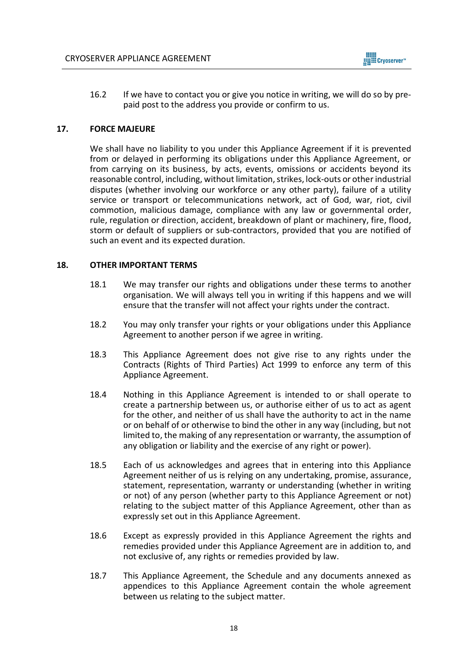

16.2 If we have to contact you or give you notice in writing, we will do so by prepaid post to the address you provide or confirm to us.

#### **17. FORCE MAJEURE**

We shall have no liability to you under this Appliance Agreement if it is prevented from or delayed in performing its obligations under this Appliance Agreement, or from carrying on its business, by acts, events, omissions or accidents beyond its reasonable control, including, without limitation, strikes, lock-outs or other industrial disputes (whether involving our workforce or any other party), failure of a utility service or transport or telecommunications network, act of God, war, riot, civil commotion, malicious damage, compliance with any law or governmental order, rule, regulation or direction, accident, breakdown of plant or machinery, fire, flood, storm or default of suppliers or sub-contractors, provided that you are notified of such an event and its expected duration.

#### **18. OTHER IMPORTANT TERMS**

- 18.1 We may transfer our rights and obligations under these terms to another organisation. We will always tell you in writing if this happens and we will ensure that the transfer will not affect your rights under the contract.
- 18.2 You may only transfer your rights or your obligations under this Appliance Agreement to another person if we agree in writing.
- 18.3 This Appliance Agreement does not give rise to any rights under the Contracts (Rights of Third Parties) Act 1999 to enforce any term of this Appliance Agreement.
- 18.4 Nothing in this Appliance Agreement is intended to or shall operate to create a partnership between us, or authorise either of us to act as agent for the other, and neither of us shall have the authority to act in the name or on behalf of or otherwise to bind the other in any way (including, but not limited to, the making of any representation or warranty, the assumption of any obligation or liability and the exercise of any right or power).
- 18.5 Each of us acknowledges and agrees that in entering into this Appliance Agreement neither of us is relying on any undertaking, promise, assurance, statement, representation, warranty or understanding (whether in writing or not) of any person (whether party to this Appliance Agreement or not) relating to the subject matter of this Appliance Agreement, other than as expressly set out in this Appliance Agreement.
- 18.6 Except as expressly provided in this Appliance Agreement the rights and remedies provided under this Appliance Agreement are in addition to, and not exclusive of, any rights or remedies provided by law.
- 18.7 This Appliance Agreement, the Schedule and any documents annexed as appendices to this Appliance Agreement contain the whole agreement between us relating to the subject matter.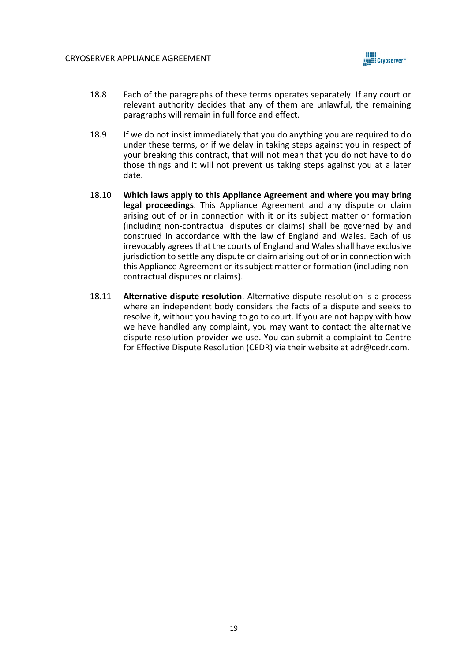

- 18.8 Each of the paragraphs of these terms operates separately. If any court or relevant authority decides that any of them are unlawful, the remaining paragraphs will remain in full force and effect.
- 18.9 If we do not insist immediately that you do anything you are required to do under these terms, or if we delay in taking steps against you in respect of your breaking this contract, that will not mean that you do not have to do those things and it will not prevent us taking steps against you at a later date.
- 18.10 **Which laws apply to this Appliance Agreement and where you may bring legal proceedings**. This Appliance Agreement and any dispute or claim arising out of or in connection with it or its subject matter or formation (including non-contractual disputes or claims) shall be governed by and construed in accordance with the law of England and Wales. Each of us irrevocably agrees that the courts of England and Wales shall have exclusive jurisdiction to settle any dispute or claim arising out of or in connection with this Appliance Agreement or its subject matter or formation (including noncontractual disputes or claims).
- 18.11 **Alternative dispute resolution**. Alternative dispute resolution is a process where an independent body considers the facts of a dispute and seeks to resolve it, without you having to go to court. If you are not happy with how we have handled any complaint, you may want to contact the alternative dispute resolution provider we use. You can submit a complaint to Centre for Effective Dispute Resolution (CEDR) via their website at adr@cedr.com.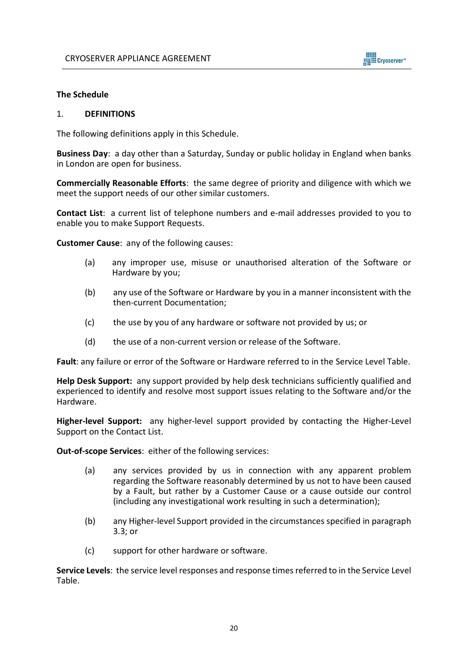

### **The Schedule**

#### 1. **DEFINITIONS**

The following definitions apply in this Schedule.

**Business Day**: a day other than a Saturday, Sunday or public holiday in England when banks in London are open for business.

**Commercially Reasonable Efforts**: the same degree of priority and diligence with which we meet the support needs of our other similar customers.

**Contact List**: a current list of telephone numbers and e-mail addresses provided to you to enable you to make Support Requests.

**Customer Cause**: any of the following causes:

- (a) any improper use, misuse or unauthorised alteration of the Software or Hardware by you;
- (b) any use of the Software or Hardware by you in a manner inconsistent with the then-current Documentation;
- (c) the use by you of any hardware or software not provided by us; or
- (d) the use of a non-current version or release of the Software.

**Fault**: any failure or error of the Software or Hardware referred to in the Service Level Table.

**Help Desk Support:** any support provided by help desk technicians sufficiently qualified and experienced to identify and resolve most support issues relating to the Software and/or the Hardware.

**Higher-level Support:** any higher-level support provided by contacting the Higher-Level Support on the Contact List.

**Out-of-scope Services**: either of the following services:

- (a) any services provided by us in connection with any apparent problem regarding the Software reasonably determined by us not to have been caused by a Fault, but rather by a Customer Cause or a cause outside our control (including any investigational work resulting in such a determination);
- (b) any Higher-level Support provided in the circumstances specified in paragraph 3.3; or
- (c) support for other hardware or software.

**Service Levels**: the service level responses and response times referred to in the Service Level Table.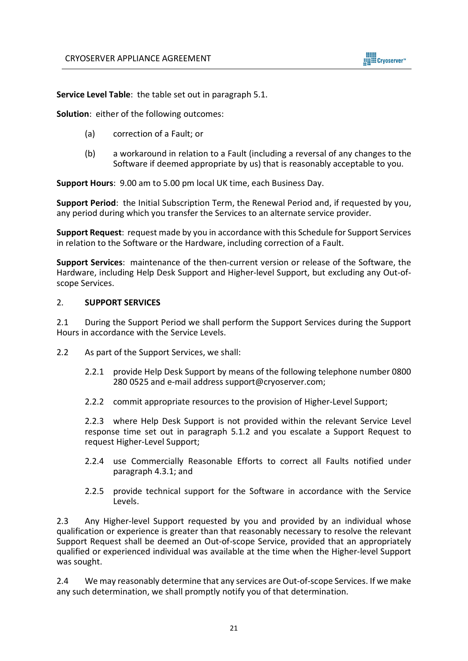

**Service Level Table**: the table set out in paragraph 5.1.

**Solution**: either of the following outcomes:

- (a) correction of a Fault; or
- (b) a workaround in relation to a Fault (including a reversal of any changes to the Software if deemed appropriate by us) that is reasonably acceptable to you.

**Support Hours**: 9.00 am to 5.00 pm local UK time, each Business Day.

**Support Period**: the Initial Subscription Term, the Renewal Period and, if requested by you, any period during which you transfer the Services to an alternate service provider.

**Support Request**: request made by you in accordance with this Schedule for Support Services in relation to the Software or the Hardware, including correction of a Fault.

**Support Services**: maintenance of the then-current version or release of the Software, the Hardware, including Help Desk Support and Higher-level Support, but excluding any Out-ofscope Services.

### 2. **SUPPORT SERVICES**

2.1 During the Support Period we shall perform the Support Services during the Support Hours in accordance with the Service Levels.

- 2.2 As part of the Support Services, we shall:
	- 2.2.1 provide Help Desk Support by means of the following telephone number 0800 280 0525 and e-mail address support@cryoserver.com;
	- 2.2.2 commit appropriate resources to the provision of Higher-Level Support;

2.2.3 where Help Desk Support is not provided within the relevant Service Level response time set out in paragraph 5.1.2 and you escalate a Support Request to request Higher-Level Support;

- 2.2.4 use Commercially Reasonable Efforts to correct all Faults notified under paragraph 4.3.1; and
- 2.2.5 provide technical support for the Software in accordance with the Service Levels.

2.3 Any Higher-level Support requested by you and provided by an individual whose qualification or experience is greater than that reasonably necessary to resolve the relevant Support Request shall be deemed an Out-of-scope Service, provided that an appropriately qualified or experienced individual was available at the time when the Higher-level Support was sought.

2.4 We may reasonably determine that any services are Out-of-scope Services. If we make any such determination, we shall promptly notify you of that determination.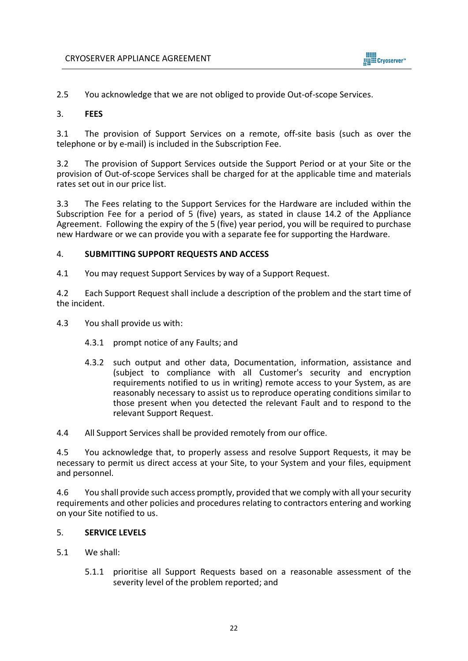

2.5 You acknowledge that we are not obliged to provide Out-of-scope Services.

### 3. **FEES**

3.1 The provision of Support Services on a remote, off-site basis (such as over the telephone or by e-mail) is included in the Subscription Fee.

3.2 The provision of Support Services outside the Support Period or at your Site or the provision of Out-of-scope Services shall be charged for at the applicable time and materials rates set out in our price list.

3.3 The Fees relating to the Support Services for the Hardware are included within the Subscription Fee for a period of 5 (five) years, as stated in clause 14.2 of the Appliance Agreement. Following the expiry of the 5 (five) year period, you will be required to purchase new Hardware or we can provide you with a separate fee for supporting the Hardware.

## 4. **SUBMITTING SUPPORT REQUESTS AND ACCESS**

4.1 You may request Support Services by way of a Support Request.

4.2 Each Support Request shall include a description of the problem and the start time of the incident.

4.3 You shall provide us with:

- 4.3.1 prompt notice of any Faults; and
- 4.3.2 such output and other data, Documentation, information, assistance and (subject to compliance with all Customer's security and encryption requirements notified to us in writing) remote access to your System, as are reasonably necessary to assist us to reproduce operating conditions similar to those present when you detected the relevant Fault and to respond to the relevant Support Request.

4.4 All Support Services shall be provided remotely from our office.

4.5 You acknowledge that, to properly assess and resolve Support Requests, it may be necessary to permit us direct access at your Site, to your System and your files, equipment and personnel.

4.6 You shall provide such access promptly, provided that we comply with all your security requirements and other policies and procedures relating to contractors entering and working on your Site notified to us.

## 5. **SERVICE LEVELS**

- 5.1 We shall:
	- 5.1.1 prioritise all Support Requests based on a reasonable assessment of the severity level of the problem reported; and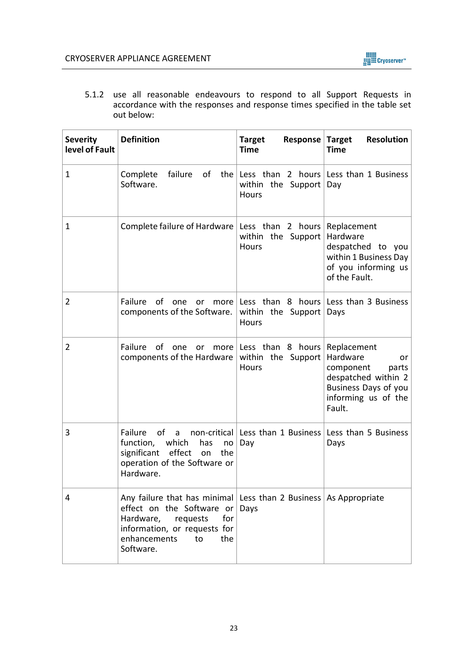

5.1.2 use all reasonable endeavours to respond to all Support Requests in accordance with the responses and response times specified in the table set out below:

| <b>Severity</b><br>level of Fault | <b>Definition</b>                                                                                                                                                                                    | Response  <br><b>Target</b><br><b>Time</b>                                                  | <b>Resolution</b><br><b>Target</b><br><b>Time</b>                                                                                   |
|-----------------------------------|------------------------------------------------------------------------------------------------------------------------------------------------------------------------------------------------------|---------------------------------------------------------------------------------------------|-------------------------------------------------------------------------------------------------------------------------------------|
| 1                                 | Complete<br>Software.                                                                                                                                                                                | failure of the Less than 2 hours Less than 1 Business<br>within the Support<br><b>Hours</b> | Day                                                                                                                                 |
| 1                                 | Complete failure of Hardware   Less than 2 hours                                                                                                                                                     | within the Support<br>Hours                                                                 | Replacement<br>Hardware<br>despatched to you<br>within 1 Business Day<br>of you informing us<br>of the Fault.                       |
| 2                                 | Failure<br>of one<br><b>or</b><br>components of the Software.                                                                                                                                        | more Less than 8 hours Less than 3 Business<br>within the Support<br>Hours                  | Days                                                                                                                                |
| $\overline{2}$                    | Failure<br>of<br>one<br>more $ $<br>or<br>components of the Hardware                                                                                                                                 | Less than 8 hours<br>within the Support<br>Hours                                            | Replacement<br>Hardware<br>or<br>component<br>parts<br>despatched within 2<br>Business Days of you<br>informing us of the<br>Fault. |
| 3                                 | Failure<br>of a<br>function, which<br>has<br>no<br>significant effect<br>the<br>on<br>operation of the Software or<br>Hardware.                                                                      | non-critical   Less than 1 Business  <br>Day                                                | Less than 5 Business<br>Days                                                                                                        |
| 4                                 | Any failure that has minimal Less than 2 Business As Appropriate<br>effect on the Software or<br>Hardware, requests<br>for<br>information, or requests for<br>enhancements<br>to<br>the<br>Software. | Days                                                                                        |                                                                                                                                     |